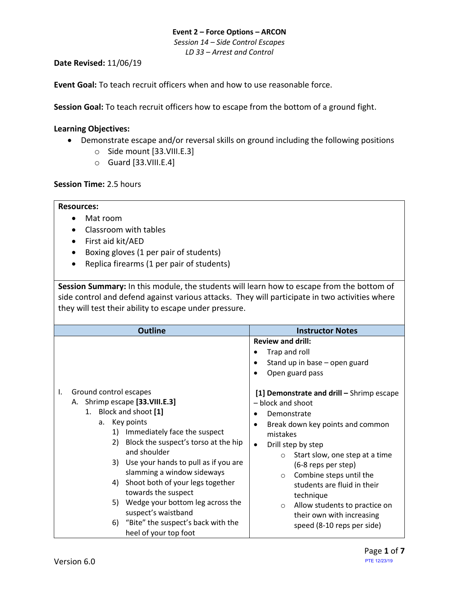#### **Event 2 – Force Options – ARCON** *Session 14 – Side Control Escapes LD 33 – Arrest and Control*

#### **Date Revised:** 11/06/19

**Event Goal:** To teach recruit officers when and how to use reasonable force.

**Session Goal:** To teach recruit officers how to escape from the bottom of a ground fight.

#### <span id="page-0-1"></span>**Learning Objectives:**

- Demonstrate escape and/or reversal skills on ground including the following positions
	- o Side mount [\[33.VIII.E.3\]](#page-0-0)
	- $\circ$  Guard [\[33.VIII.E.4\]](#page-2-0)

#### **Session Time:** 2.5 hours

#### **Resources:**

- Mat room
- Classroom with tables
- First aid kit/AED
- Boxing gloves (1 per pair of students)
- Replica firearms (1 per pair of students)

**Session Summary:** In this module, the students will learn how to escape from the bottom of side control and defend against various attacks. They will participate in two activities where they will test their ability to escape under pressure.

<span id="page-0-0"></span>

| <b>Outline</b>                                                                                                                                                                                                                                                                                                                                                                                        | <b>Instructor Notes</b>                                                                                                                                                                                                                                                                                                                                                                                                 |
|-------------------------------------------------------------------------------------------------------------------------------------------------------------------------------------------------------------------------------------------------------------------------------------------------------------------------------------------------------------------------------------------------------|-------------------------------------------------------------------------------------------------------------------------------------------------------------------------------------------------------------------------------------------------------------------------------------------------------------------------------------------------------------------------------------------------------------------------|
| Ground control escapes<br>I.<br>A. Shrimp escape [33. VIII.E.3]<br>1. Block and shoot [1]<br>Key points<br>a.<br>Immediately face the suspect<br>1)<br>Block the suspect's torso at the hip<br>2)<br>and shoulder<br>3) Use your hands to pull as if you are<br>slamming a window sideways<br>Shoot both of your legs together<br>4)<br>towards the suspect<br>Wedge your bottom leg across the<br>5) | <b>Review and drill:</b><br>Trap and roll<br>Stand up in base - open guard<br>Open guard pass<br>[1] Demonstrate and drill - Shrimp escape<br>- block and shoot<br>Demonstrate<br>Break down key points and common<br>mistakes<br>Drill step by step<br>$\bullet$<br>Start slow, one step at a time<br>$\circ$<br>(6-8 reps per step)<br>Combine steps until the<br>$\circ$<br>students are fluid in their<br>technique |
| suspect's waistband<br>6) "Bite" the suspect's back with the<br>heel of your top foot                                                                                                                                                                                                                                                                                                                 | Allow students to practice on<br>$\circ$<br>their own with increasing<br>speed (8-10 reps per side)                                                                                                                                                                                                                                                                                                                     |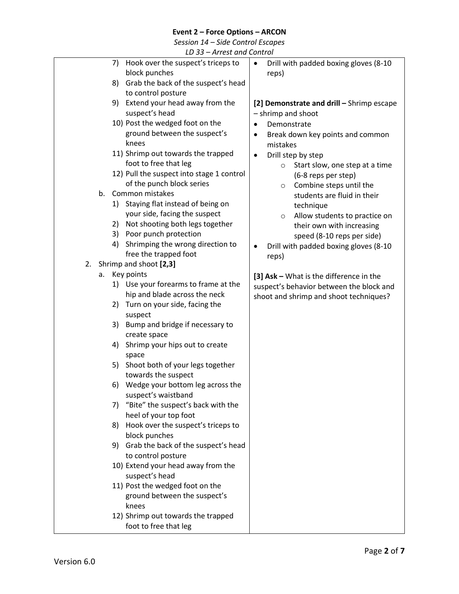*Session 14 – Side Control Escapes*

*LD 33 – Arrest and Control*

|                              | LD JJ – Affest dhu Control                |           |             |                                           |
|------------------------------|-------------------------------------------|-----------|-------------|-------------------------------------------|
| 7)                           | Hook over the suspect's triceps to        | $\bullet$ |             | Drill with padded boxing gloves (8-10     |
|                              | block punches                             |           | reps)       |                                           |
|                              | 8) Grab the back of the suspect's head    |           |             |                                           |
|                              | to control posture                        |           |             |                                           |
|                              | 9) Extend your head away from the         |           |             | [2] Demonstrate and drill - Shrimp escape |
|                              | suspect's head                            |           |             | - shrimp and shoot                        |
|                              | 10) Post the wedged foot on the           | $\bullet$ | Demonstrate |                                           |
|                              | ground between the suspect's              |           |             | Break down key points and common          |
| knees                        |                                           |           | mistakes    |                                           |
|                              | 11) Shrimp out towards the trapped        | $\bullet$ |             | Drill step by step                        |
|                              | foot to free that leg                     |           | $\circ$     | Start slow, one step at a time            |
|                              | 12) Pull the suspect into stage 1 control |           |             | (6-8 reps per step)                       |
|                              | of the punch block series                 |           | $\circ$     | Combine steps until the                   |
| b.                           | Common mistakes                           |           |             | students are fluid in their               |
| 1)                           | Staying flat instead of being on          |           |             | technique                                 |
|                              | your side, facing the suspect             |           | $\circ$     | Allow students to practice on             |
| 2)                           | Not shooting both legs together           |           |             | their own with increasing                 |
| 3)                           | Poor punch protection                     |           |             | speed (8-10 reps per side)                |
| 4)                           | Shrimping the wrong direction to          |           |             | Drill with padded boxing gloves (8-10     |
|                              | free the trapped foot                     |           | reps)       |                                           |
| Shrimp and shoot [2,3]<br>2. |                                           |           |             |                                           |
| Key points<br>a.             |                                           |           |             | [3] Ask - What is the difference in the   |
|                              | 1) Use your forearms to frame at the      |           |             | suspect's behavior between the block and  |
|                              | hip and blade across the neck             |           |             | shoot and shrimp and shoot techniques?    |
|                              | 2) Turn on your side, facing the          |           |             |                                           |
|                              | suspect                                   |           |             |                                           |
| 3)                           | Bump and bridge if necessary to           |           |             |                                           |
|                              | create space                              |           |             |                                           |
| 4)                           | Shrimp your hips out to create            |           |             |                                           |
| space                        |                                           |           |             |                                           |
| 5)                           | Shoot both of your legs together          |           |             |                                           |
|                              | towards the suspect                       |           |             |                                           |
|                              | 6) Wedge your bottom leg across the       |           |             |                                           |
|                              | suspect's waistband                       |           |             |                                           |
| 7)                           | "Bite" the suspect's back with the        |           |             |                                           |
|                              | heel of your top foot                     |           |             |                                           |
| 8)                           | Hook over the suspect's triceps to        |           |             |                                           |
|                              | block punches                             |           |             |                                           |
|                              | 9) Grab the back of the suspect's head    |           |             |                                           |
|                              | to control posture                        |           |             |                                           |
|                              | 10) Extend your head away from the        |           |             |                                           |
|                              | suspect's head                            |           |             |                                           |
|                              | 11) Post the wedged foot on the           |           |             |                                           |
|                              | ground between the suspect's              |           |             |                                           |
| knees                        |                                           |           |             |                                           |
|                              | 12) Shrimp out towards the trapped        |           |             |                                           |
|                              | foot to free that leg                     |           |             |                                           |
|                              |                                           |           |             |                                           |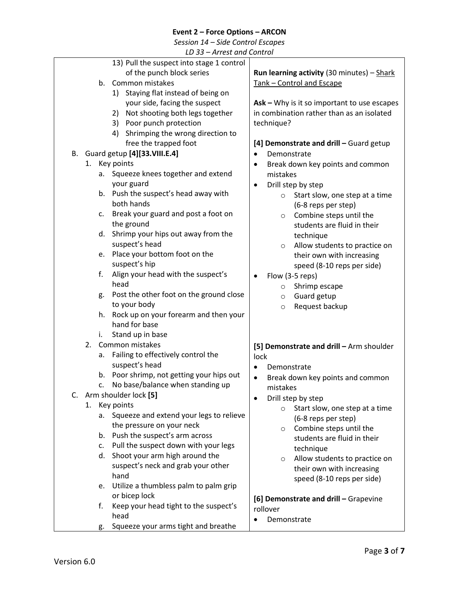*Session 14 – Side Control Escapes*

*LD 33 – Arrest and Control*

<span id="page-2-0"></span>

|    |    | 13) Pull the suspect into stage 1 control     |                                                   |
|----|----|-----------------------------------------------|---------------------------------------------------|
|    |    | of the punch block series                     | <b>Run learning activity</b> (30 minutes) - Shark |
|    | b. | Common mistakes                               | Tank - Control and Escape                         |
|    |    | Staying flat instead of being on<br>1)        |                                                   |
|    |    | your side, facing the suspect                 | Ask - Why is it so important to use escapes       |
|    |    | 2) Not shooting both legs together            | in combination rather than as an isolated         |
|    |    | 3) Poor punch protection                      | technique?                                        |
|    |    | Shrimping the wrong direction to<br>4)        |                                                   |
|    |    | free the trapped foot                         | [4] Demonstrate and drill - Guard getup           |
| В. |    | Guard getup [4][33.VIII.E.4]                  | Demonstrate<br>$\bullet$                          |
|    |    | 1. Key points                                 |                                                   |
|    |    | Squeeze knees together and extend             | Break down key points and common<br>٠<br>mistakes |
|    |    | а.<br>your guard                              |                                                   |
|    |    |                                               | Drill step by step<br>$\bullet$                   |
|    |    | b. Push the suspect's head away with          | Start slow, one step at a time<br>$\circ$         |
|    |    | both hands                                    | (6-8 reps per step)                               |
|    | c. | Break your guard and post a foot on           | Combine steps until the<br>$\circ$                |
|    |    | the ground                                    | students are fluid in their                       |
|    |    | Shrimp your hips out away from the<br>d.      | technique                                         |
|    |    | suspect's head                                | Allow students to practice on<br>$\circ$          |
|    | e. | Place your bottom foot on the                 | their own with increasing                         |
|    |    | suspect's hip                                 | speed (8-10 reps per side)                        |
|    | f. | Align your head with the suspect's            | Flow (3-5 reps)                                   |
|    |    | head                                          | Shrimp escape<br>$\circ$                          |
|    | g. | Post the other foot on the ground close       | Guard getup<br>$\circ$                            |
|    |    | to your body                                  | Request backup<br>$\circ$                         |
|    | h. | Rock up on your forearm and then your         |                                                   |
|    |    | hand for base                                 |                                                   |
|    | i. | Stand up in base                              |                                                   |
|    | 2. | Common mistakes                               | [5] Demonstrate and drill - Arm shoulder          |
|    | a. | Failing to effectively control the            | lock                                              |
|    |    | suspect's head                                | Demonstrate                                       |
|    | b. | Poor shrimp, not getting your hips out        | Break down key points and common<br>$\bullet$     |
|    | c. | No base/balance when standing up              | mistakes                                          |
| C. |    | Arm shoulder lock [5]                         | $\bullet$                                         |
|    |    | 1. Key points                                 | Drill step by step                                |
|    |    | Squeeze and extend your legs to relieve<br>а. | Start slow, one step at a time<br>$\circ$         |
|    |    | the pressure on your neck                     | (6-8 reps per step)                               |
|    | b. | Push the suspect's arm across                 | Combine steps until the<br>$\circ$                |
|    |    | c. Pull the suspect down with your legs       | students are fluid in their                       |
|    |    | Shoot your arm high around the<br>d.          | technique                                         |
|    |    | suspect's neck and grab your other            | Allow students to practice on<br>$\circ$          |
|    |    | hand                                          | their own with increasing                         |
|    |    |                                               | speed (8-10 reps per side)                        |
|    | e. | Utilize a thumbless palm to palm grip         |                                                   |
|    |    | or bicep lock                                 | [6] Demonstrate and drill - Grapevine             |
|    | f. | Keep your head tight to the suspect's         | rollover                                          |
|    |    | head                                          | Demonstrate                                       |
|    | g. | Squeeze your arms tight and breathe           |                                                   |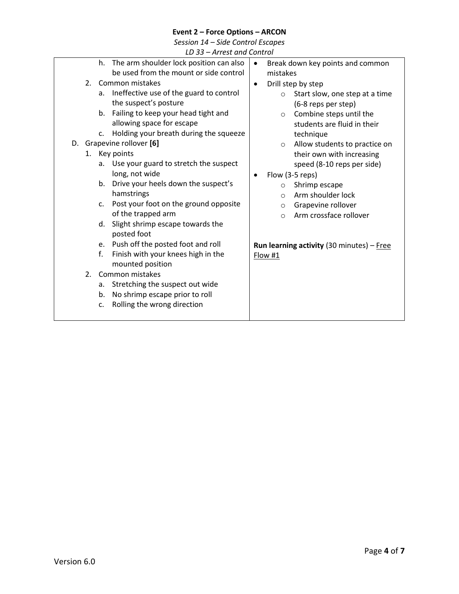*Session 14 – Side Control Escapes*

| LD 33 – Arrest and Control |  |
|----------------------------|--|
|----------------------------|--|

|    |         | The arm shoulder lock position can also<br>h.           | Break down key points and common<br>$\bullet$      |
|----|---------|---------------------------------------------------------|----------------------------------------------------|
|    |         | be used from the mount or side control                  | mistakes                                           |
|    | $2_{-}$ | Common mistakes                                         | Drill step by step<br>$\bullet$                    |
|    |         | Ineffective use of the guard to control<br>a.           | Start slow, one step at a time<br>$\circ$          |
|    |         | the suspect's posture                                   | (6-8 reps per step)                                |
|    |         | Failing to keep your head tight and<br>b.               | Combine steps until the<br>$\circ$                 |
|    |         | allowing space for escape                               | students are fluid in their                        |
|    |         | Holding your breath during the squeeze<br>$C_{\star}$   | technique                                          |
| D. |         | Grapevine rollover [6]                                  | Allow students to practice on<br>$\circ$           |
|    |         | 1. Key points                                           | their own with increasing                          |
|    |         | Use your guard to stretch the suspect<br>a.             | speed (8-10 reps per side)                         |
|    |         | long, not wide                                          | Flow (3-5 reps)                                    |
|    |         | Drive your heels down the suspect's<br>b.               | Shrimp escape<br>$\circ$                           |
|    |         | hamstrings                                              | Arm shoulder lock<br>$\Omega$                      |
|    |         | Post your foot on the ground opposite<br>$\mathsf{C}$ . | Grapevine rollover<br>$\circ$                      |
|    |         | of the trapped arm                                      | Arm crossface rollover<br>$\Omega$                 |
|    |         | Slight shrimp escape towards the<br>d.                  |                                                    |
|    |         | posted foot                                             |                                                    |
|    |         | e. Push off the posted foot and roll                    | <b>Run learning activity</b> (30 minutes) $-$ Free |
|    |         | f.<br>Finish with your knees high in the                | Flow #1                                            |
|    |         | mounted position                                        |                                                    |
|    | 2.      | Common mistakes                                         |                                                    |
|    |         | Stretching the suspect out wide<br>a.                   |                                                    |
|    |         | No shrimp escape prior to roll<br>b.                    |                                                    |
|    |         | Rolling the wrong direction<br>c.                       |                                                    |
|    |         |                                                         |                                                    |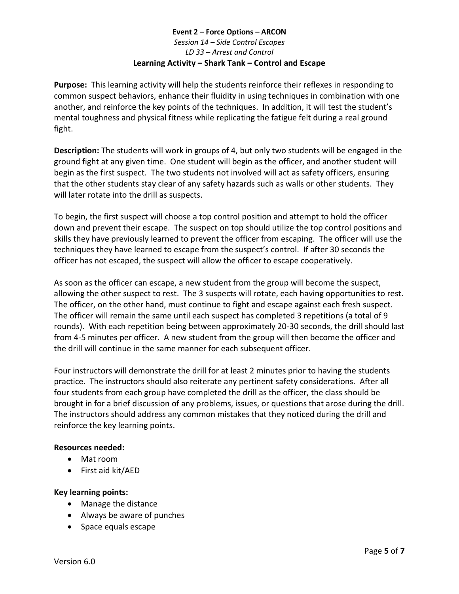## **Event 2 – Force Options – ARCON** *Session 14 – Side Control Escapes LD 33 – Arrest and Control* **Learning Activity – Shark Tank – Control and Escape**

<span id="page-4-0"></span>**Purpose:** This learning activity will help the students reinforce their reflexes in responding to common suspect behaviors, enhance their fluidity in using techniques in combination with one another, and reinforce the key points of the techniques. In addition, it will test the student's mental toughness and physical fitness while replicating the fatigue felt during a real ground fight.

**Description:** The students will work in groups of 4, but only two students will be engaged in the ground fight at any given time. One student will begin as the officer, and another student will begin as the first suspect. The two students not involved will act as safety officers, ensuring that the other students stay clear of any safety hazards such as walls or other students. They will later rotate into the drill as suspects.

To begin, the first suspect will choose a top control position and attempt to hold the officer down and prevent their escape. The suspect on top should utilize the top control positions and skills they have previously learned to prevent the officer from escaping. The officer will use the techniques they have learned to escape from the suspect's control. If after 30 seconds the officer has not escaped, the suspect will allow the officer to escape cooperatively.

As soon as the officer can escape, a new student from the group will become the suspect, allowing the other suspect to rest. The 3 suspects will rotate, each having opportunities to rest. The officer, on the other hand, must continue to fight and escape against each fresh suspect. The officer will remain the same until each suspect has completed 3 repetitions (a total of 9 rounds). With each repetition being between approximately 20-30 seconds, the drill should last from 4-5 minutes per officer. A new student from the group will then become the officer and the drill will continue in the same manner for each subsequent officer.

Four instructors will demonstrate the drill for at least 2 minutes prior to having the students practice. The instructors should also reiterate any pertinent safety considerations. After all four students from each group have completed the drill as the officer, the class should be brought in for a brief discussion of any problems, issues, or questions that arose during the drill. The instructors should address any common mistakes that they noticed during the drill and reinforce the key learning points.

# **Resources needed:**

- Mat room
- First aid kit/AED

# **Key learning points:**

- Manage the distance
- Always be aware of punches
- Space equals escape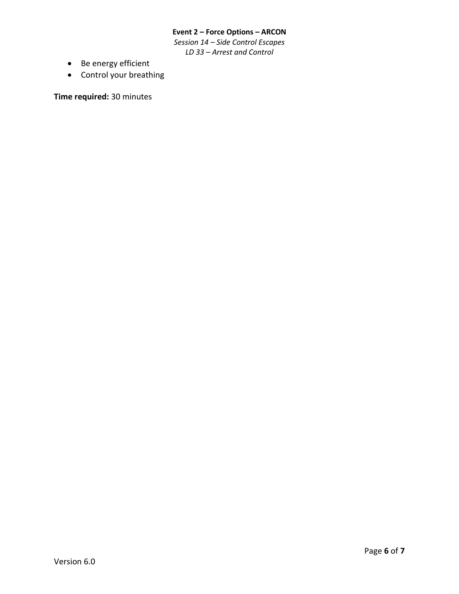*Session 14 – Side Control Escapes LD 33 – Arrest and Control*

- Be energy efficient
- Control your breathing

**Time required:** 30 minutes